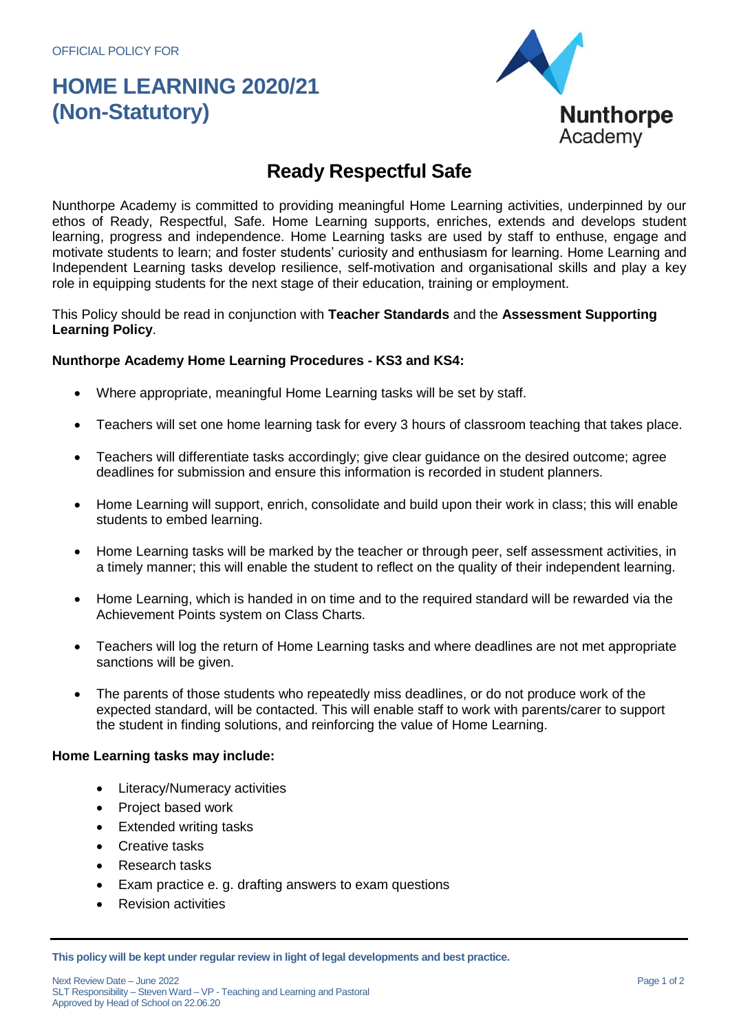## **HOME LEARNING 2020/21 (Non-Statutory)**



### **Ready Respectful Safe**

Nunthorpe Academy is committed to providing meaningful Home Learning activities, underpinned by our ethos of Ready, Respectful, Safe. Home Learning supports, enriches, extends and develops student learning, progress and independence. Home Learning tasks are used by staff to enthuse, engage and motivate students to learn; and foster students' curiosity and enthusiasm for learning. Home Learning and Independent Learning tasks develop resilience, self-motivation and organisational skills and play a key role in equipping students for the next stage of their education, training or employment.

This Policy should be read in conjunction with **Teacher Standards** and the **Assessment Supporting Learning Policy**.

#### **Nunthorpe Academy Home Learning Procedures - KS3 and KS4:**

- Where appropriate, meaningful Home Learning tasks will be set by staff.
- Teachers will set one home learning task for every 3 hours of classroom teaching that takes place.
- Teachers will differentiate tasks accordingly; give clear guidance on the desired outcome; agree deadlines for submission and ensure this information is recorded in student planners.
- Home Learning will support, enrich, consolidate and build upon their work in class; this will enable students to embed learning.
- Home Learning tasks will be marked by the teacher or through peer, self assessment activities, in a timely manner; this will enable the student to reflect on the quality of their independent learning.
- Home Learning, which is handed in on time and to the required standard will be rewarded via the Achievement Points system on Class Charts.
- Teachers will log the return of Home Learning tasks and where deadlines are not met appropriate sanctions will be given.
- The parents of those students who repeatedly miss deadlines, or do not produce work of the expected standard, will be contacted. This will enable staff to work with parents/carer to support the student in finding solutions, and reinforcing the value of Home Learning.

#### **Home Learning tasks may include:**

- Literacy/Numeracy activities
- Project based work
- Extended writing tasks
- Creative tasks
- Research tasks
- Exam practice e. g. drafting answers to exam questions
- Revision activities

**This policy will be kept under regular review in light of legal developments and best practice.**